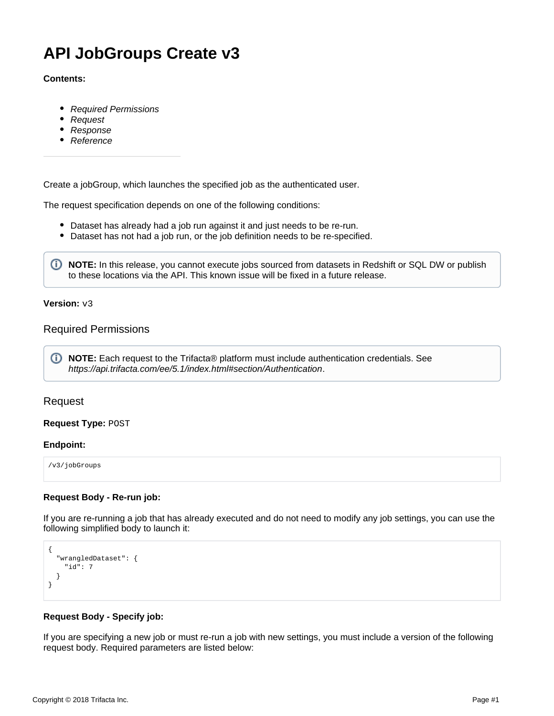# **API JobGroups Create v3**

### **Contents:**

- [Required Permissions](#page-0-0)
- [Request](#page-0-1)
- [Response](#page-1-0)
- [Reference](#page-1-1)

Create a jobGroup, which launches the specified job as the authenticated user.

The request specification depends on one of the following conditions:

- Dataset has already had a job run against it and just needs to be re-run.
- Dataset has not had a job run, or the job definition needs to be re-specified.

**NOTE:** In this release, you cannot execute jobs sourced from datasets in Redshift or SQL DW or publish to these locations via the API. This known issue will be fixed in a future release.

#### **Version:** v3

# <span id="page-0-0"></span>Required Permissions

**NOTE:** Each request to the Trifacta® platform must include authentication credentials. See <https://api.trifacta.com/ee/5.1/index.html#section/Authentication>.

# <span id="page-0-1"></span>Request

### **Request Type:** POST

#### **Endpoint:**

/v3/jobGroups

#### **Request Body - Re-run job:**

If you are re-running a job that has already executed and do not need to modify any job settings, you can use the following simplified body to launch it:

```
{
   "wrangledDataset": {
     "id": 7
   }
}
```
## **Request Body - Specify job:**

If you are specifying a new job or must re-run a job with new settings, you must include a version of the following request body. Required parameters are listed below: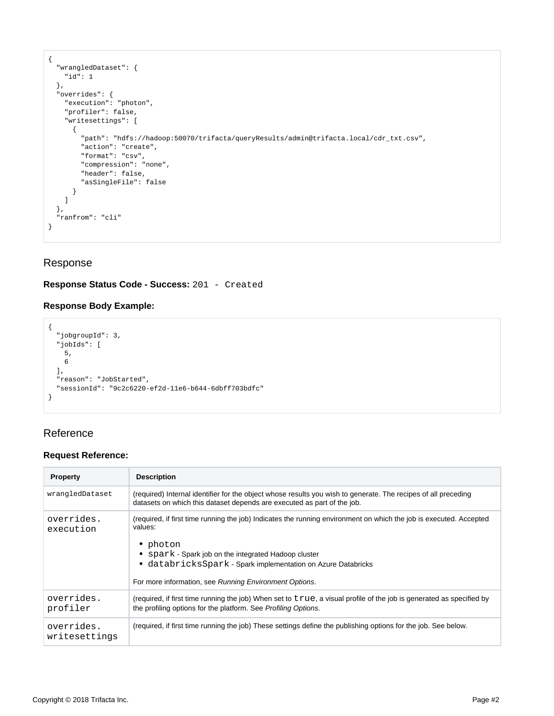```
{
   "wrangledDataset": {
    "id": 1
  },
   "overrides": {
    "execution": "photon",
    "profiler": false,
     "writesettings": [
      {
         "path": "hdfs://hadoop:50070/trifacta/queryResults/admin@trifacta.local/cdr_txt.csv",
         "action": "create",
         "format": "csv",
         "compression": "none",
         "header": false,
         "asSingleFile": false
       }
    ]
  },
   "ranfrom": "cli"
}
```
# <span id="page-1-0"></span>Response

# **Response Status Code - Success:** 201 - Created

# **Response Body Example:**

```
{
  "jobgroupId": 3,
  "jobIds": [
    5,
    6
  ],
  "reason": "JobStarted",
  "sessionId": "9c2c6220-ef2d-11e6-b644-6dbff703bdfc"
}
```
# <span id="page-1-1"></span>Reference

# **Request Reference:**

| <b>Property</b>             | <b>Description</b>                                                                                                                                                                                                                                                                                                          |
|-----------------------------|-----------------------------------------------------------------------------------------------------------------------------------------------------------------------------------------------------------------------------------------------------------------------------------------------------------------------------|
| wrangledDataset             | (required) Internal identifier for the object whose results you wish to generate. The recipes of all preceding<br>datasets on which this dataset depends are executed as part of the job.                                                                                                                                   |
| overrides.<br>execution     | (required, if first time running the job) Indicates the running environment on which the job is executed. Accepted<br>values:<br>• photon<br>• spark - Spark job on the integrated Hadoop cluster<br>• databricksSpark - Spark implementation on Azure Databricks<br>For more information, see Running Environment Options. |
| overrides.<br>profiler      | (required, if first time running the job) When set to true, a visual profile of the job is generated as specified by<br>the profiling options for the platform. See Profiling Options.                                                                                                                                      |
| overrides.<br>writesettings | (required, if first time running the job) These settings define the publishing options for the job. See below.                                                                                                                                                                                                              |